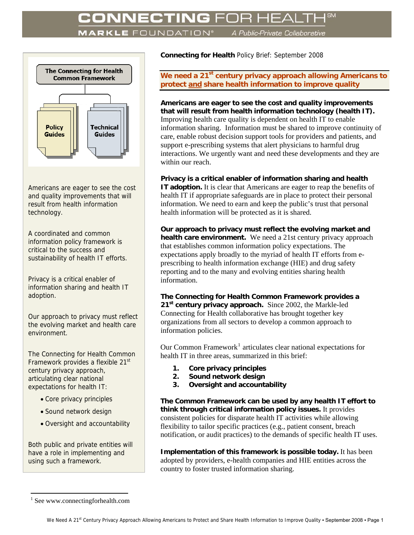## **MARKLE** FOUNDATION®

A Public-Private Collaborative



Americans are eager to see the cost and quality improvements that will result from health information technology.

A coordinated and common information policy framework is critical to the success and sustainability of health IT efforts.

Privacy is a critical enabler of information sharing and health IT adoption.

Our approach to privacy must reflect the evolving market and health care environment.

The Connecting for Health Common Framework provides a flexible 21<sup>st</sup> century privacy approach, articulating clear national expectations for health IT:

- Core privacy principles
- Sound network design
- Oversight and accountability

Both public and private entities will have a role in implementing and using such a framework.

**Connecting for Health** Policy Brief: September 2008

We need a 21<sup>st</sup> century privacy approach allowing Americans to **protect and share health information to improve quality** 

**Americans are eager to see the cost and quality improvements that will result from health information technology (health IT).** Improving health care quality is dependent on health IT to enable information sharing. Information must be shared to improve continuity of care, enable robust decision support tools for providers and patients, and support e-prescribing systems that alert physicians to harmful drug interactions. We urgently want and need these developments and they are within our reach.

**Privacy is a critical enabler of information sharing and health IT adoption.** It is clear that Americans are eager to reap the benefits of health IT if appropriate safeguards are in place to protect their personal information. We need to earn and keep the public's trust that personal health information will be protected as it is shared.

**Our approach to privacy must reflect the evolving market and health care environment.** We need a 21st century privacy approach that establishes common information policy expectations. The expectations apply broadly to the myriad of health IT efforts from eprescribing to health information exchange (HIE) and drug safety reporting and to the many and evolving entities sharing health information.

**The Connecting for Health Common Framework provides a**  21<sup>st</sup> century privacy approach. Since 2002, the Markle-led Connecting for Health collaborative has brought together key organizations from all sectors to develop a common approach to information policies.

Our Common Framework<sup>[1](#page-0-0)</sup> articulates clear national expectations for health IT in three areas, summarized in this brief:

- **1. Core privacy principles**
- **2. Sound network design**
- **3. Oversight and accountability**

**The Common Framework can be used by any health IT effort to think through critical information policy issues.** It provides consistent policies for disparate health IT activities while allowing flexibility to tailor specific practices (e.g., patient consent, breach notification, or audit practices) to the demands of specific health IT uses.

**Implementation of this framework is possible today.** It has been adopted by providers, e-health companies and HIE entities across the country to foster trusted information sharing.

1

<span id="page-0-0"></span><sup>1</sup> See www.connectingforhealth.com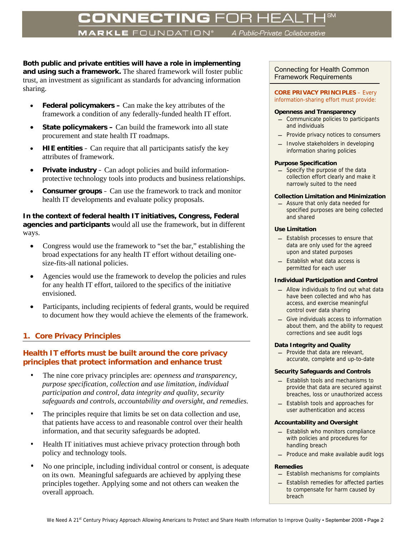# **CONNECTING** FOR HI

**MARKLE** FOUNDATION®

A Public-Private Collaborative

**Both public and private entities will have a role in implementing and using such a framework.** The shared framework will foster public trust, an investment as significant as standards for advancing information sharing.

- **Federal policymakers** Can make the key attributes of the framework a condition of any federally-funded health IT effort.
- **State policymakers –** Can build the framework into all state procurement and state health IT roadmaps.
- **HIE entities** Can require that all participants satisfy the key attributes of framework.
- **Private industry**  Can adopt policies and build informationprotective technology tools into products and business relationships.
- **Consumer groups**  Can use the framework to track and monitor health IT developments and evaluate policy proposals.

**In the context of federal health IT initiatives, Congress, Federal agencies and participants** would all use the framework, but in different ways.

- Congress would use the framework to "set the bar," establishing the broad expectations for any health IT effort without detailing onesize-fits-all national policies.
- Agencies would use the framework to develop the policies and rules for any health IT effort, tailored to the specifics of the initiative envisioned.
- Participants, including recipients of federal grants, would be required to document how they would achieve the elements of the framework.

# **1. Core Privacy Principles**

## **Health IT efforts must be built around the core privacy principles that protect information and enhance trust**

- The nine core privacy principles are: *openness and transparency, purpose specification, collection and use limitation, individual participation and control, data integrity and quality, security safeguards and controls, accountability and oversight, and remedies.*
- The principles require that limits be set on data collection and use, that patients have access to and reasonable control over their health information, and that security safeguards be adopted.
- Health IT initiatives must achieve privacy protection through both policy and technology tools.
- No one principle, including individual control or consent, is adequate on its own. Meaningful safeguards are achieved by applying these principles together. Applying some and not others can weaken the overall approach.

### Connecting for Health Common Framework Requirements

#### **CORE PRIVACY PRINCIPLES** – Every information-sharing effort must provide:

#### **Openness and Transparency**

- Communicate policies to participants and individuals
- Provide privacy notices to consumers
- Involve stakeholders in developing information sharing policies

#### **Purpose Specification**

- Specify the purpose of the data collection effort clearly and make it narrowly suited to the need

#### **Collection Limitation and Minimization**

- Assure that only data needed for specified purposes are being collected and shared

#### **Use Limitation**

- Establish processes to ensure that data are only used for the agreed upon and stated purposes
- Establish what data access is permitted for each user

#### **Individual Participation and Control**

- Allow individuals to find out what data have been collected and who has access, and exercise meaningful control over data sharing
- Give individuals access to information about them, and the ability to request corrections and see audit logs

#### **Data Integrity and Quality**

 $-$  Provide that data are relevant, accurate, complete and up-to-date

#### **Security Safeguards and Controls**

- Establish tools and mechanisms to provide that data are secured against breaches, loss or unauthorized access
- Establish tools and approaches for user authentication and access

#### **Accountability and Oversight**

- Establish who monitors compliance with policies and procedures for handling breach
- Produce and make available audit logs

#### **Remedies**

- $-$  Establish mechanisms for complaints
- Establish remedies for affected parties to compensate for harm caused by breach